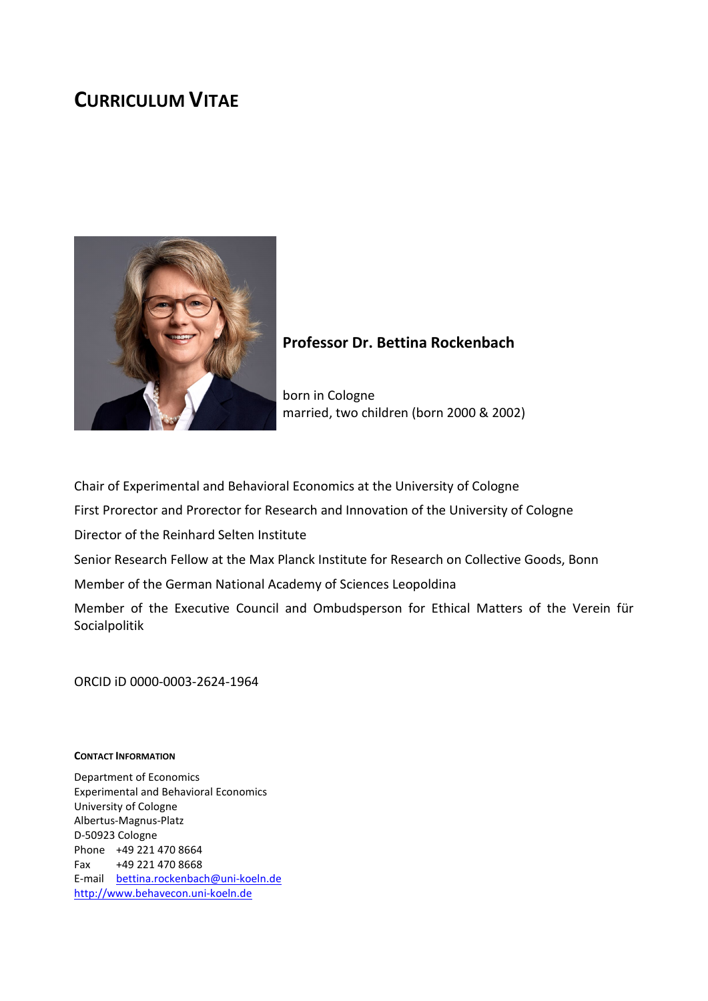# **CURRICULUM VITAE**



## **Professor Dr. Bettina Rockenbach**

born in Cologne married, two children (born 2000 & 2002)

Chair of Experimental and Behavioral Economics at the University of Cologne

First Prorector and Prorector for Research and Innovation of the University of Cologne

Director of the Reinhard Selten Institute

Senior Research Fellow at the Max Planck Institute for Research on Collective Goods, Bonn

Member of the German National Academy of Sciences Leopoldina

Member of the Executive Council and Ombudsperson for Ethical Matters of the Verein für Socialpolitik

ORCID iD 0000-0003-2624-1964

#### **CONTACT INFORMATION**

Department of Economics Experimental and Behavioral Economics University of Cologne Albertus-Magnus-Platz D-50923 Cologne Phone +49 221 470 8664 Fax +49 221 470 8668 E-mail [bettina.rockenbach@uni-koeln.de](mailto:bettina.rockenbach@uni-koeln.de) [http://www.behavecon.uni-koeln.de](http://www.behavecon.uni-koeln.de/)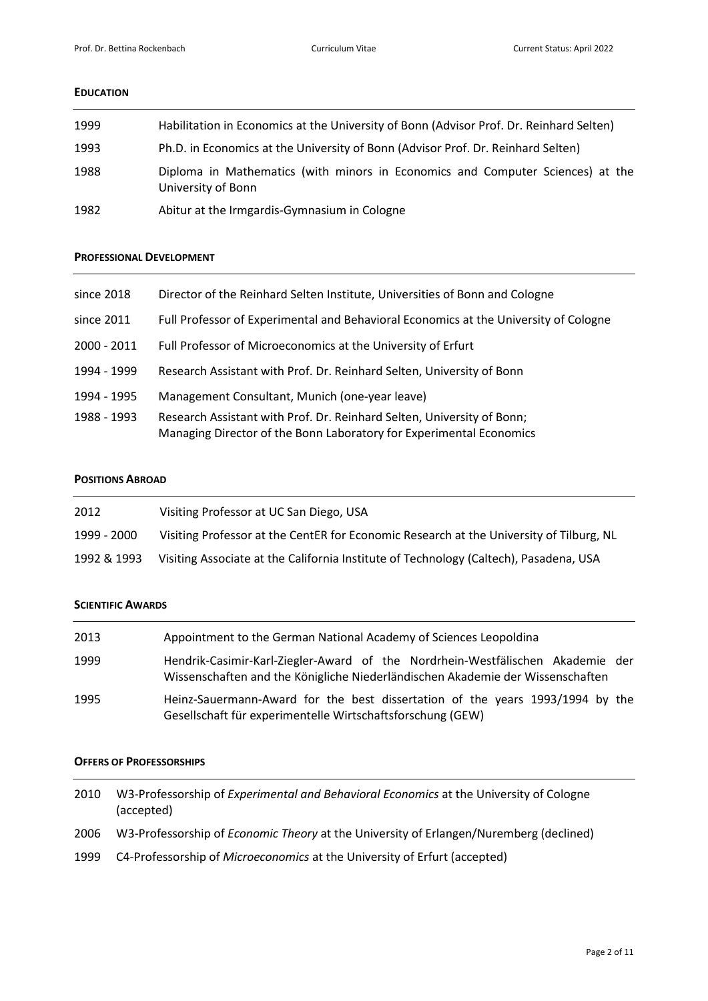#### **EDUCATION**

| 1999 | Habilitation in Economics at the University of Bonn (Advisor Prof. Dr. Reinhard Selten)              |
|------|------------------------------------------------------------------------------------------------------|
| 1993 | Ph.D. in Economics at the University of Bonn (Advisor Prof. Dr. Reinhard Selten)                     |
| 1988 | Diploma in Mathematics (with minors in Economics and Computer Sciences) at the<br>University of Bonn |
| 1982 | Abitur at the Irmgardis-Gymnasium in Cologne                                                         |

#### **PROFESSIONAL DEVELOPMENT**

| since 2018    | Director of the Reinhard Selten Institute, Universities of Bonn and Cologne                                                                   |
|---------------|-----------------------------------------------------------------------------------------------------------------------------------------------|
| since 2011    | Full Professor of Experimental and Behavioral Economics at the University of Cologne                                                          |
| $2000 - 2011$ | Full Professor of Microeconomics at the University of Erfurt                                                                                  |
| 1994 - 1999   | Research Assistant with Prof. Dr. Reinhard Selten, University of Bonn                                                                         |
| 1994 - 1995   | Management Consultant, Munich (one-year leave)                                                                                                |
| 1988 - 1993   | Research Assistant with Prof. Dr. Reinhard Selten, University of Bonn;<br>Managing Director of the Bonn Laboratory for Experimental Economics |

## **POSITIONS ABROAD**

| 2012        | Visiting Professor at UC San Diego, USA                                                 |
|-------------|-----------------------------------------------------------------------------------------|
| 1999 - 2000 | Visiting Professor at the CentER for Economic Research at the University of Tilburg, NL |
| 1992 & 1993 | Visiting Associate at the California Institute of Technology (Caltech), Pasadena, USA   |

### **SCIENTIFIC AWARDS**

| 2013 | Appointment to the German National Academy of Sciences Leopoldina                                                                                                |
|------|------------------------------------------------------------------------------------------------------------------------------------------------------------------|
| 1999 | Hendrik-Casimir-Karl-Ziegler-Award of the Nordrhein-Westfälischen Akademie der<br>Wissenschaften and the Königliche Niederländischen Akademie der Wissenschaften |
| 1995 | Heinz-Sauermann-Award for the best dissertation of the years 1993/1994 by the<br>Gesellschaft für experimentelle Wirtschaftsforschung (GEW)                      |

## **OFFERS OF PROFESSORSHIPS**

| 2010 | W3-Professorship of <i>Experimental and Behavioral Economics</i> at the University of Cologne<br>(accepted) |
|------|-------------------------------------------------------------------------------------------------------------|
| 2006 | W3-Professorship of Economic Theory at the University of Erlangen/Nuremberg (declined)                      |
| 1999 | C4-Professorship of <i>Microeconomics</i> at the University of Erfurt (accepted)                            |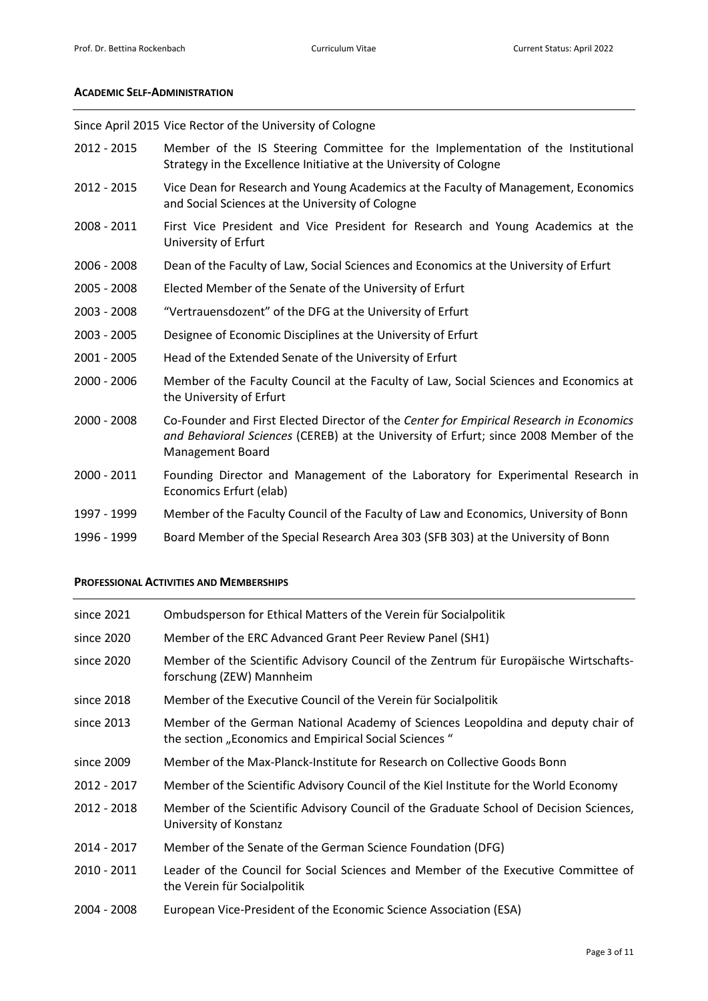#### **ACADEMIC SELF-ADMINISTRATION**

Since April 2015 Vice Rector of the University of Cologne

- 2012 2015 Member of the IS Steering Committee for the Implementation of the Institutional Strategy in the Excellence Initiative at the University of Cologne
- 2012 2015 Vice Dean for Research and Young Academics at the Faculty of Management, Economics and Social Sciences at the University of Cologne
- 2008 2011 First Vice President and Vice President for Research and Young Academics at the University of Erfurt
- 2006 2008 Dean of the Faculty of Law, Social Sciences and Economics at the University of Erfurt
- 2005 2008 Elected Member of the Senate of the University of Erfurt
- 2003 2008 "Vertrauensdozent" of the DFG at the University of Erfurt
- 2003 2005 Designee of Economic Disciplines at the University of Erfurt
- 2001 2005 Head of the Extended Senate of the University of Erfurt
- 2000 2006 Member of the Faculty Council at the Faculty of Law, Social Sciences and Economics at the University of Erfurt
- 2000 2008 Co-Founder and First Elected Director of the *Center for Empirical Research in Economics and Behavioral Sciences* (CEREB) at the University of Erfurt; since 2008 Member of the Management Board
- 2000 2011 Founding Director and Management of the Laboratory for Experimental Research in Economics Erfurt (elab)
- 1997 1999 Member of the Faculty Council of the Faculty of Law and Economics, University of Bonn
- 1996 1999 Board Member of the Special Research Area 303 (SFB 303) at the University of Bonn

#### **PROFESSIONAL ACTIVITIES AND MEMBERSHIPS**

| since 2021  | Ombudsperson for Ethical Matters of the Verein für Socialpolitik                                                                          |
|-------------|-------------------------------------------------------------------------------------------------------------------------------------------|
| since 2020  | Member of the ERC Advanced Grant Peer Review Panel (SH1)                                                                                  |
| since 2020  | Member of the Scientific Advisory Council of the Zentrum für Europäische Wirtschafts-<br>forschung (ZEW) Mannheim                         |
| since 2018  | Member of the Executive Council of the Verein für Socialpolitik                                                                           |
| since 2013  | Member of the German National Academy of Sciences Leopoldina and deputy chair of<br>the section "Economics and Empirical Social Sciences" |
| since 2009  | Member of the Max-Planck-Institute for Research on Collective Goods Bonn                                                                  |
| 2012 - 2017 | Member of the Scientific Advisory Council of the Kiel Institute for the World Economy                                                     |
| 2012 - 2018 | Member of the Scientific Advisory Council of the Graduate School of Decision Sciences,<br>University of Konstanz                          |
| 2014 - 2017 | Member of the Senate of the German Science Foundation (DFG)                                                                               |
| 2010 - 2011 | Leader of the Council for Social Sciences and Member of the Executive Committee of<br>the Verein für Socialpolitik                        |
| 2004 - 2008 | European Vice-President of the Economic Science Association (ESA)                                                                         |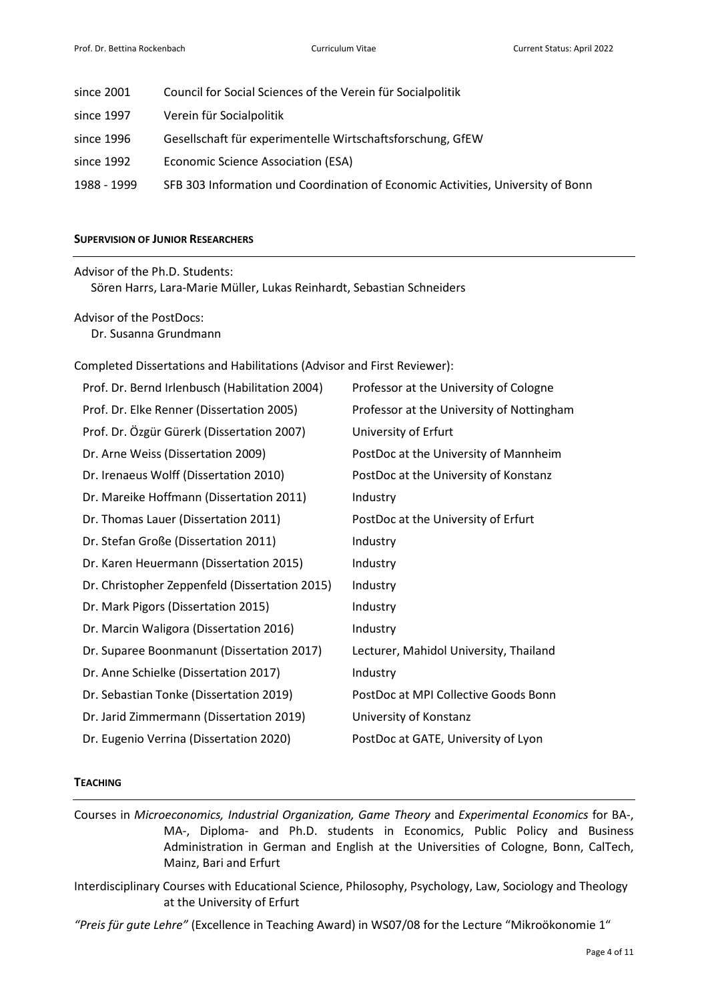| since 2001  | Council for Social Sciences of the Verein für Socialpolitik                     |
|-------------|---------------------------------------------------------------------------------|
| since 1997  | Verein für Socialpolitik                                                        |
| since 1996  | Gesellschaft für experimentelle Wirtschaftsforschung, GfEW                      |
| since 1992  | Economic Science Association (ESA)                                              |
| 1988 - 1999 | SFB 303 Information und Coordination of Economic Activities, University of Bonn |

#### **SUPERVISION OF JUNIOR RESEARCHERS**

Advisor of the Ph.D. Students:

Sören Harrs, Lara-Marie Müller, Lukas Reinhardt, Sebastian Schneiders

Advisor of the PostDocs: Dr. Susanna Grundmann

Completed Dissertations and Habilitations (Advisor and First Reviewer):

| Prof. Dr. Bernd Irlenbusch (Habilitation 2004) | Professor at the University of Cologne    |
|------------------------------------------------|-------------------------------------------|
| Prof. Dr. Elke Renner (Dissertation 2005)      | Professor at the University of Nottingham |
| Prof. Dr. Özgür Gürerk (Dissertation 2007)     | University of Erfurt                      |
| Dr. Arne Weiss (Dissertation 2009)             | PostDoc at the University of Mannheim     |
| Dr. Irenaeus Wolff (Dissertation 2010)         | PostDoc at the University of Konstanz     |
| Dr. Mareike Hoffmann (Dissertation 2011)       | Industry                                  |
| Dr. Thomas Lauer (Dissertation 2011)           | PostDoc at the University of Erfurt       |
| Dr. Stefan Große (Dissertation 2011)           | Industry                                  |
| Dr. Karen Heuermann (Dissertation 2015)        | Industry                                  |
| Dr. Christopher Zeppenfeld (Dissertation 2015) | Industry                                  |
| Dr. Mark Pigors (Dissertation 2015)            | Industry                                  |
| Dr. Marcin Waligora (Dissertation 2016)        | Industry                                  |
| Dr. Suparee Boonmanunt (Dissertation 2017)     | Lecturer, Mahidol University, Thailand    |
| Dr. Anne Schielke (Dissertation 2017)          | Industry                                  |
| Dr. Sebastian Tonke (Dissertation 2019)        | PostDoc at MPI Collective Goods Bonn      |
| Dr. Jarid Zimmermann (Dissertation 2019)       | University of Konstanz                    |
| Dr. Eugenio Verrina (Dissertation 2020)        | PostDoc at GATE, University of Lyon       |

#### **TEACHING**

Courses in *Microeconomics, Industrial Organization, Game Theory* and *Experimental Economics* for BA-, MA-, Diploma- and Ph.D. students in Economics, Public Policy and Business Administration in German and English at the Universities of Cologne, Bonn, CalTech, Mainz, Bari and Erfurt

Interdisciplinary Courses with Educational Science, Philosophy, Psychology, Law, Sociology and Theology at the University of Erfurt

*"Preis für gute Lehre"* (Excellence in Teaching Award) in WS07/08 for the Lecture "Mikroökonomie 1"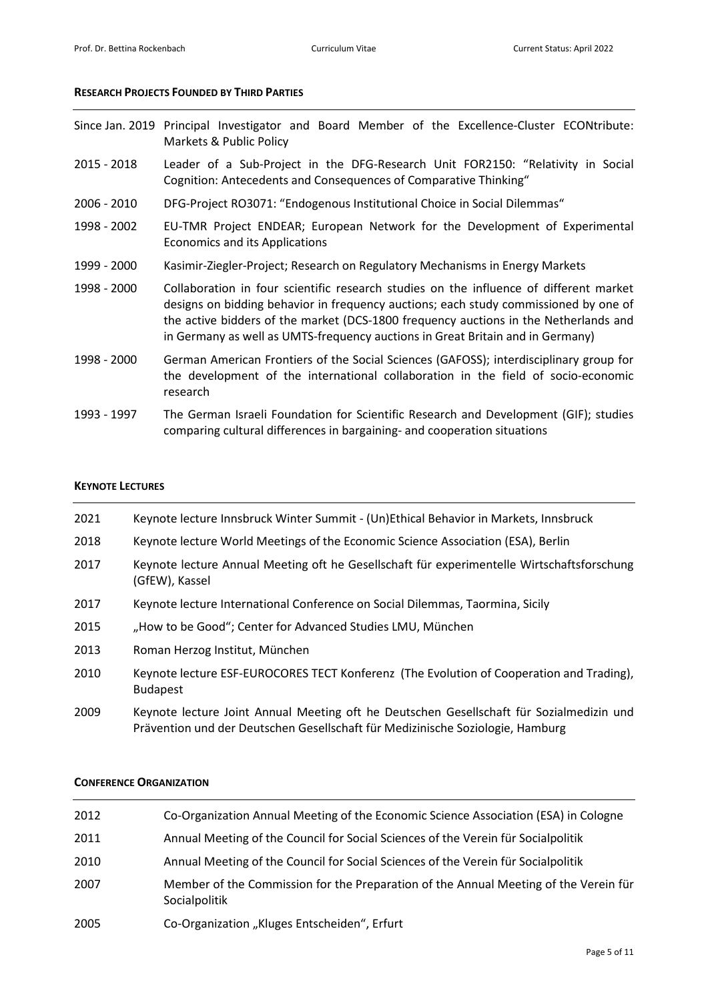#### **RESEARCH PROJECTS FOUNDED BY THIRD PARTIES**

|  |                         |  |  | Since Jan. 2019 Principal Investigator and Board Member of the Excellence-Cluster ECONtribute: |  |
|--|-------------------------|--|--|------------------------------------------------------------------------------------------------|--|
|  | Markets & Public Policy |  |  |                                                                                                |  |

- 2015 2018 Leader of a Sub-Project in the DFG-Research Unit FOR2150: "Relativity in Social Cognition: Antecedents and Consequences of Comparative Thinking"
- 2006 2010 DFG-Project RO3071: "Endogenous Institutional Choice in Social Dilemmas"
- 1998 2002 EU-TMR Project ENDEAR; European Network for the Development of Experimental Economics and its Applications
- 1999 2000 Kasimir-Ziegler-Project; Research on Regulatory Mechanisms in Energy Markets
- 1998 2000 Collaboration in four scientific research studies on the influence of different market designs on bidding behavior in frequency auctions; each study commissioned by one of the active bidders of the market (DCS-1800 frequency auctions in the Netherlands and in Germany as well as UMTS-frequency auctions in Great Britain and in Germany)
- 1998 2000 German American Frontiers of the Social Sciences (GAFOSS); interdisciplinary group for the development of the international collaboration in the field of socio-economic research
- 1993 1997 The German Israeli Foundation for Scientific Research and Development (GIF); studies comparing cultural differences in bargaining- and cooperation situations

#### **KEYNOTE LECTURES**

| 2021 | Keynote lecture Innsbruck Winter Summit - (Un)Ethical Behavior in Markets, Innsbruck                                                                                       |
|------|----------------------------------------------------------------------------------------------------------------------------------------------------------------------------|
| 2018 | Keynote lecture World Meetings of the Economic Science Association (ESA), Berlin                                                                                           |
| 2017 | Keynote lecture Annual Meeting oft he Gesellschaft für experimentelle Wirtschaftsforschung<br>(GfEW), Kassel                                                               |
| 2017 | Keynote lecture International Conference on Social Dilemmas, Taormina, Sicily                                                                                              |
| 2015 | "How to be Good"; Center for Advanced Studies LMU, München                                                                                                                 |
| 2013 | Roman Herzog Institut, München                                                                                                                                             |
| 2010 | Keynote lecture ESF-EUROCORES TECT Konferenz (The Evolution of Cooperation and Trading),<br><b>Budapest</b>                                                                |
| 2009 | Keynote lecture Joint Annual Meeting oft he Deutschen Gesellschaft für Sozialmedizin und<br>Prävention und der Deutschen Gesellschaft für Medizinische Soziologie, Hamburg |

#### **CONFERENCE ORGANIZATION**

| 2012 | Co-Organization Annual Meeting of the Economic Science Association (ESA) in Cologne                   |
|------|-------------------------------------------------------------------------------------------------------|
| 2011 | Annual Meeting of the Council for Social Sciences of the Verein für Socialpolitik                     |
| 2010 | Annual Meeting of the Council for Social Sciences of the Verein für Socialpolitik                     |
| 2007 | Member of the Commission for the Preparation of the Annual Meeting of the Verein für<br>Socialpolitik |
| 2005 | Co-Organization "Kluges Entscheiden", Erfurt                                                          |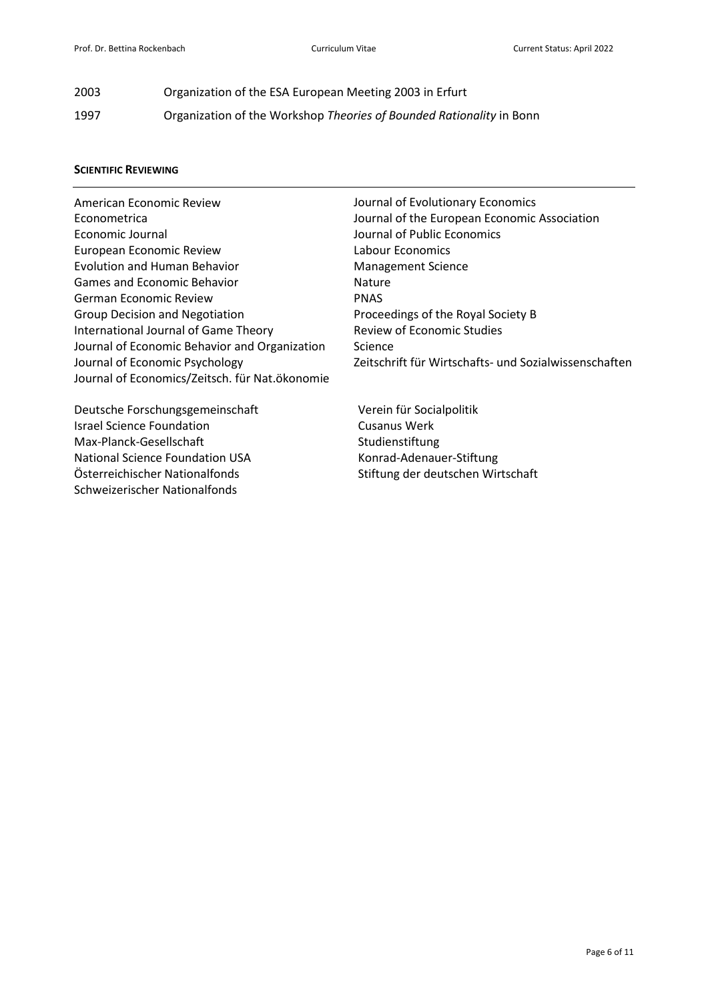| 2003 | Organization of the ESA European Meeting 2003 in Erfurt              |
|------|----------------------------------------------------------------------|
| 1997 | Organization of the Workshop Theories of Bounded Rationality in Bonn |

#### **SCIENTIFIC REVIEWING**

American Economic Review Econometrica Economic Journal European Economic Review Evolution and Human Behavior Games and Economic Behavior German Economic Review Group Decision and Negotiation International Journal of Game Theory Journal of Economic Behavior and Organization Journal of Economic Psychology Journal of Economics/Zeitsch. für Nat.ökonomie

Deutsche Forschungsgemeinschaft Israel Science Foundation Max-Planck-Gesellschaft National Science Foundation USA Österreichischer Nationalfonds Schweizerischer Nationalfonds

Journal of Evolutionary Economics Journal of the European Economic Association Journal of Public Economics Labour Economics Management Science Nature PNAS Proceedings of the Royal Society B Review of Economic Studies Science Zeitschrift für Wirtschafts- und Sozialwissenschaften

Verein für Socialpolitik Cusanus Werk Studienstiftung Konrad-Adenauer-Stiftung Stiftung der deutschen Wirtschaft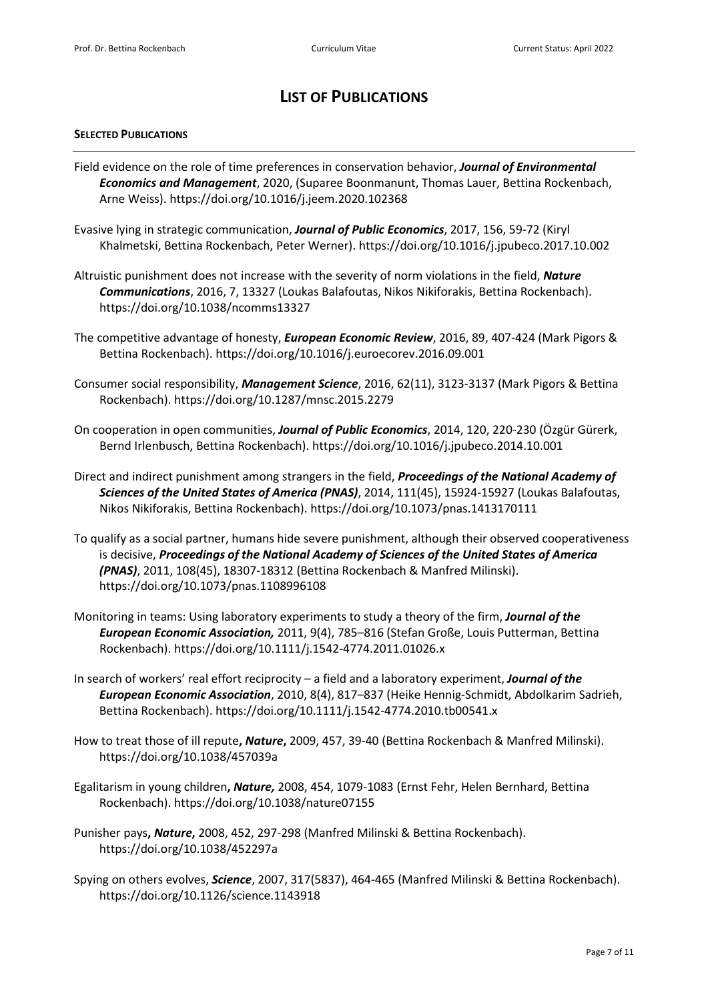## **LIST OF PUBLICATIONS**

#### **SELECTED PUBLICATIONS**

- Field evidence on the role of time preferences in conservation behavior, *Journal of Environmental Economics and Management*, 2020, (Suparee Boonmanunt, Thomas Lauer, Bettina Rockenbach, Arne Weiss). https://doi.org/10.1016/j.jeem.2020.102368
- Evasive lying in strategic communication, *Journal of Public Economics*, 2017, 156, 59-72 (Kiryl Khalmetski, Bettina Rockenbach, Peter Werner). https://doi.org/10.1016/j.jpubeco.2017.10.002
- Altruistic punishment does not increase with the severity of norm violations in the field, *Nature Communications*, 2016, 7, 13327 (Loukas Balafoutas, Nikos Nikiforakis, Bettina Rockenbach). https://doi.org/10.1038/ncomms13327
- The competitive advantage of honesty, *European Economic Review*, 2016, 89, 407-424 (Mark Pigors & Bettina Rockenbach). https://doi.org/10.1016/j.euroecorev.2016.09.001
- Consumer social responsibility, *Management Science*, 2016, 62(11), 3123-3137 (Mark Pigors & Bettina Rockenbach). https://doi.org/10.1287/mnsc.2015.2279
- On cooperation in open communities, *Journal of Public Economics*, 2014, 120, 220-230 (Özgür Gürerk, Bernd Irlenbusch, Bettina Rockenbach). https://doi.org/10.1016/j.jpubeco.2014.10.001
- Direct and indirect punishment among strangers in the field, *Proceedings of the National Academy of Sciences of the United States of America (PNAS)*, 2014, 111(45), 15924-15927 (Loukas Balafoutas, Nikos Nikiforakis, Bettina Rockenbach). https://doi.org/10.1073/pnas.1413170111
- To qualify as a social partner, humans hide severe punishment, although their observed cooperativeness is decisive, *Proceedings of the National Academy of Sciences of the United States of America (PNAS)*, 2011, 108(45), 18307-18312 (Bettina Rockenbach & Manfred Milinski). https://doi.org/10.1073/pnas.1108996108
- Monitoring in teams: Using laboratory experiments to study a theory of the firm, *Journal of the European Economic Association,* 2011, 9(4), 785–816 (Stefan Große, Louis Putterman, Bettina Rockenbach). https://doi.org/10.1111/j.1542-4774.2011.01026.x
- In search of workers' real effort reciprocity a field and a laboratory experiment, *Journal of the European Economic Association*, 2010, 8(4), 817–837 (Heike Hennig-Schmidt, Abdolkarim Sadrieh, Bettina Rockenbach). https://doi.org/10.1111/j.1542-4774.2010.tb00541.x
- How to treat those of ill repute**,** *Nature***,** 2009, 457, 39-40 (Bettina Rockenbach & Manfred Milinski). https://doi.org/10.1038/457039a
- Egalitarism in young children**,** *Nature,* 2008, 454, 1079-1083 (Ernst Fehr, Helen Bernhard, Bettina Rockenbach). https://doi.org/10.1038/nature07155
- Punisher pays**,** *Nature***,** 2008, 452, 297-298 (Manfred Milinski & Bettina Rockenbach). https://doi.org/10.1038/452297a
- Spying on others evolves, *Science*, 2007, 317(5837), 464-465 (Manfred Milinski & Bettina Rockenbach). https://doi.org/10.1126/science.1143918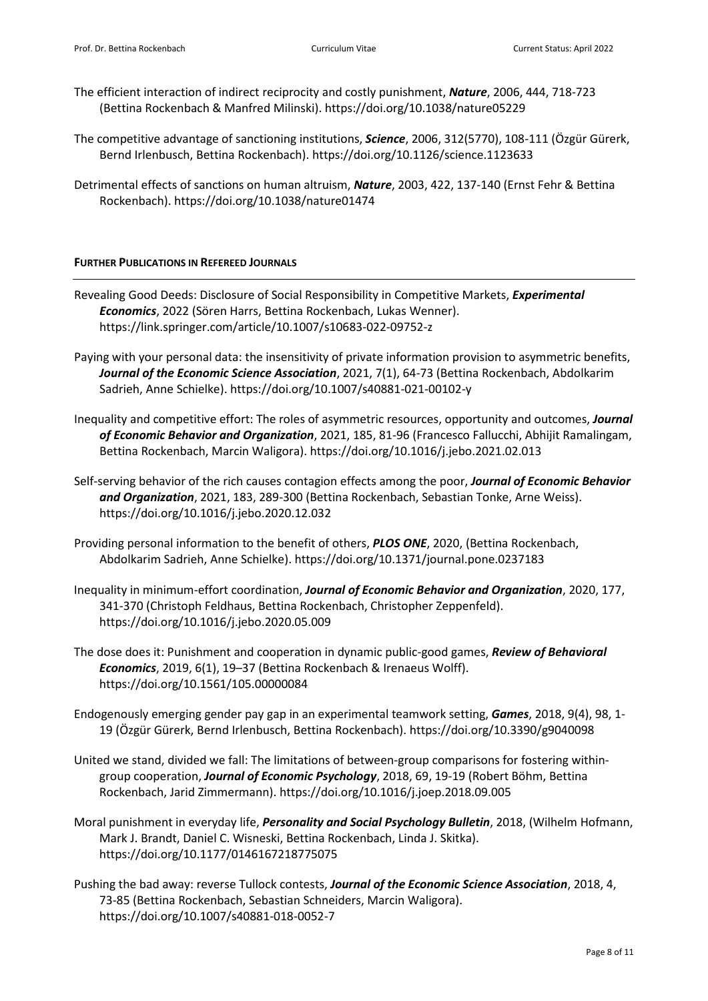- The efficient interaction of indirect reciprocity and costly punishment, *Nature*, 2006, 444, 718-723 (Bettina Rockenbach & Manfred Milinski). https://doi.org/10.1038/nature05229
- The competitive advantage of sanctioning institutions, *Science*, 2006, 312(5770), 108-111 (Özgür Gürerk, Bernd Irlenbusch, Bettina Rockenbach). https://doi.org/10.1126/science.1123633
- Detrimental effects of sanctions on human altruism, *Nature*, 2003, 422, 137-140 (Ernst Fehr & Bettina Rockenbach). https://doi.org/10.1038/nature01474

#### **FURTHER PUBLICATIONS IN REFEREED JOURNALS**

- Revealing Good Deeds: Disclosure of Social Responsibility in Competitive Markets, *Experimental Economics*, 2022 (Sören Harrs, Bettina Rockenbach, Lukas Wenner). https://link.springer.com/article/10.1007/s10683-022-09752-z
- Paying with your personal data: the insensitivity of private information provision to asymmetric benefits, *Journal of the Economic Science Association*, 2021, 7(1), 64-73 (Bettina Rockenbach, Abdolkarim Sadrieh, Anne Schielke). https://doi.org/10.1007/s40881-021-00102-y
- Inequality and competitive effort: The roles of asymmetric resources, opportunity and outcomes, *Journal of Economic Behavior and Organization*, 2021, 185, 81-96 (Francesco Fallucchi, Abhijit Ramalingam, Bettina Rockenbach, Marcin Waligora). https://doi.org/10.1016/j.jebo.2021.02.013
- Self-serving behavior of the rich causes contagion effects among the poor, *Journal of Economic Behavior and Organization*, 2021, 183, 289-300 (Bettina Rockenbach, Sebastian Tonke, Arne Weiss). https://doi.org/10.1016/j.jebo.2020.12.032
- Providing personal information to the benefit of others, *PLOS ONE*, 2020, (Bettina Rockenbach, Abdolkarim Sadrieh, Anne Schielke). https://doi.org/10.1371/journal.pone.0237183
- Inequality in minimum-effort coordination, *Journal of Economic Behavior and Organization*, 2020, 177, 341-370 (Christoph Feldhaus, Bettina Rockenbach, Christopher Zeppenfeld). https://doi.org/10.1016/j.jebo.2020.05.009
- The dose does it: Punishment and cooperation in dynamic public-good games, *Review of Behavioral Economics*, 2019, 6(1), 19–37 (Bettina Rockenbach & Irenaeus Wolff). https://doi.org/10.1561/105.00000084
- Endogenously emerging gender pay gap in an experimental teamwork setting, *Games*, 2018, 9(4), 98, 1- 19 (Özgür Gürerk, Bernd Irlenbusch, Bettina Rockenbach). https://doi.org/10.3390/g9040098
- United we stand, divided we fall: The limitations of between-group comparisons for fostering withingroup cooperation, *Journal of Economic Psychology*, 2018, 69, 19-19 (Robert Böhm, Bettina Rockenbach, Jarid Zimmermann). https://doi.org/10.1016/j.joep.2018.09.005
- Moral punishment in everyday life, *Personality and Social Psychology Bulletin*, 2018, (Wilhelm Hofmann, Mark J. Brandt, Daniel C. Wisneski, Bettina Rockenbach, Linda J. Skitka). https://doi.org/10.1177/0146167218775075
- Pushing the bad away: reverse Tullock contests, *Journal of the Economic Science Association*, 2018, 4, 73-85 (Bettina Rockenbach, Sebastian Schneiders, Marcin Waligora). https://doi.org/10.1007/s40881-018-0052-7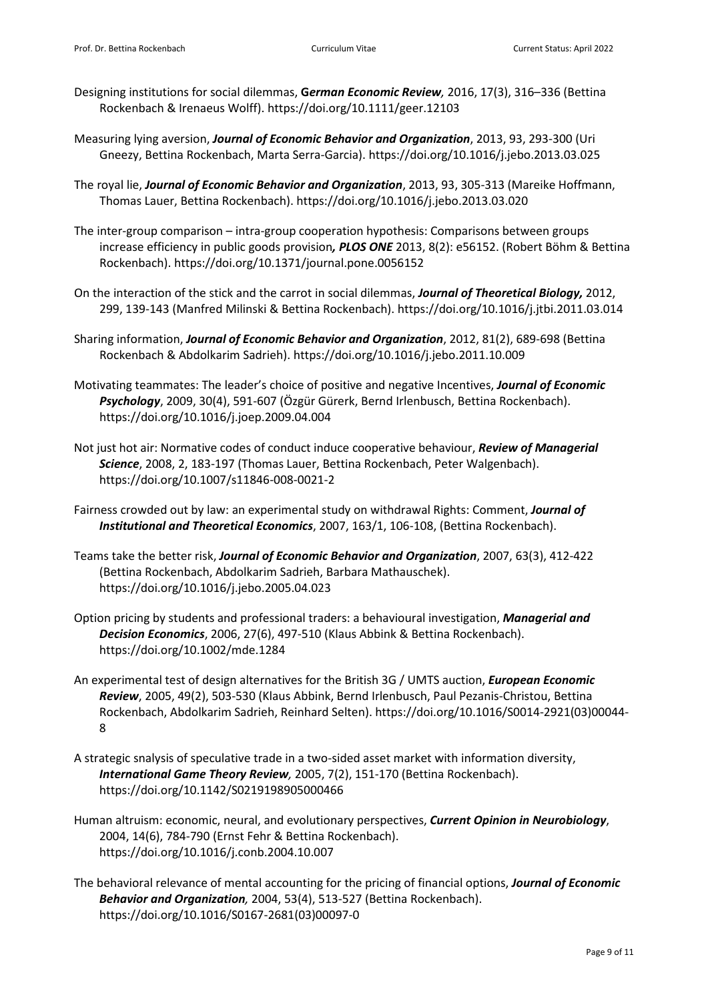- Designing institutions for social dilemmas, **G***erman Economic Review,* 2016, 17(3), 316–336 (Bettina Rockenbach & Irenaeus Wolff). https://doi.org/10.1111/geer.12103
- Measuring lying aversion, *Journal of Economic Behavior and Organization*, 2013, 93, 293-300 (Uri Gneezy, Bettina Rockenbach, Marta Serra-Garcia). https://doi.org/10.1016/j.jebo.2013.03.025
- The royal lie, *Journal of Economic Behavior and Organization*, 2013, 93, 305-313 (Mareike Hoffmann, Thomas Lauer, Bettina Rockenbach). https://doi.org/10.1016/j.jebo.2013.03.020
- The inter-group comparison intra-group cooperation hypothesis: Comparisons between groups increase efficiency in public goods provision*, PLOS ONE* 2013, 8(2): e56152. (Robert Böhm & Bettina Rockenbach). https://doi.org/10.1371/journal.pone.0056152
- On the interaction of the stick and the carrot in social dilemmas, *Journal of Theoretical Biology,* 2012, 299, 139-143 (Manfred Milinski & Bettina Rockenbach). https://doi.org/10.1016/j.jtbi.2011.03.014
- Sharing information, *Journal of Economic Behavior and Organization*, 2012, 81(2), 689-698 (Bettina Rockenbach & Abdolkarim Sadrieh). https://doi.org/10.1016/j.jebo.2011.10.009
- Motivating teammates: The leader's choice of positive and negative Incentives, *Journal of Economic Psychology*, 2009, 30(4), 591-607 (Özgür Gürerk, Bernd Irlenbusch, Bettina Rockenbach). https://doi.org/10.1016/j.joep.2009.04.004
- Not just hot air: Normative codes of conduct induce cooperative behaviour, *Review of Managerial Science*, 2008, 2, 183-197 (Thomas Lauer, Bettina Rockenbach, Peter Walgenbach). https://doi.org/10.1007/s11846-008-0021-2
- Fairness crowded out by law: an experimental study on withdrawal Rights: Comment, *Journal of Institutional and Theoretical Economics*, 2007, 163/1, 106-108, (Bettina Rockenbach).
- Teams take the better risk, *Journal of Economic Behavior and Organization*, 2007, 63(3), 412-422 (Bettina Rockenbach, Abdolkarim Sadrieh, Barbara Mathauschek). https://doi.org/10.1016/j.jebo.2005.04.023
- Option pricing by students and professional traders: a behavioural investigation, *Managerial and Decision Economics*, 2006, 27(6), 497-510 (Klaus Abbink & Bettina Rockenbach). https://doi.org/10.1002/mde.1284
- An experimental test of design alternatives for the British 3G / UMTS auction, *European Economic Review*, 2005, 49(2), 503-530 (Klaus Abbink, Bernd Irlenbusch, Paul Pezanis-Christou, Bettina Rockenbach, Abdolkarim Sadrieh, Reinhard Selten). https://doi.org/10.1016/S0014-2921(03)00044- 8
- A strategic snalysis of speculative trade in a two-sided asset market with information diversity, *International Game Theory Review,* 2005, 7(2), 151-170 (Bettina Rockenbach). https://doi.org/10.1142/S0219198905000466
- Human altruism: economic, neural, and evolutionary perspectives, *Current Opinion in Neurobiology*, 2004, 14(6), 784-790 (Ernst Fehr & Bettina Rockenbach). https://doi.org/10.1016/j.conb.2004.10.007
- The behavioral relevance of mental accounting for the pricing of financial options, *Journal of Economic Behavior and Organization,* 2004, 53(4), 513-527 (Bettina Rockenbach). https://doi.org/10.1016/S0167-2681(03)00097-0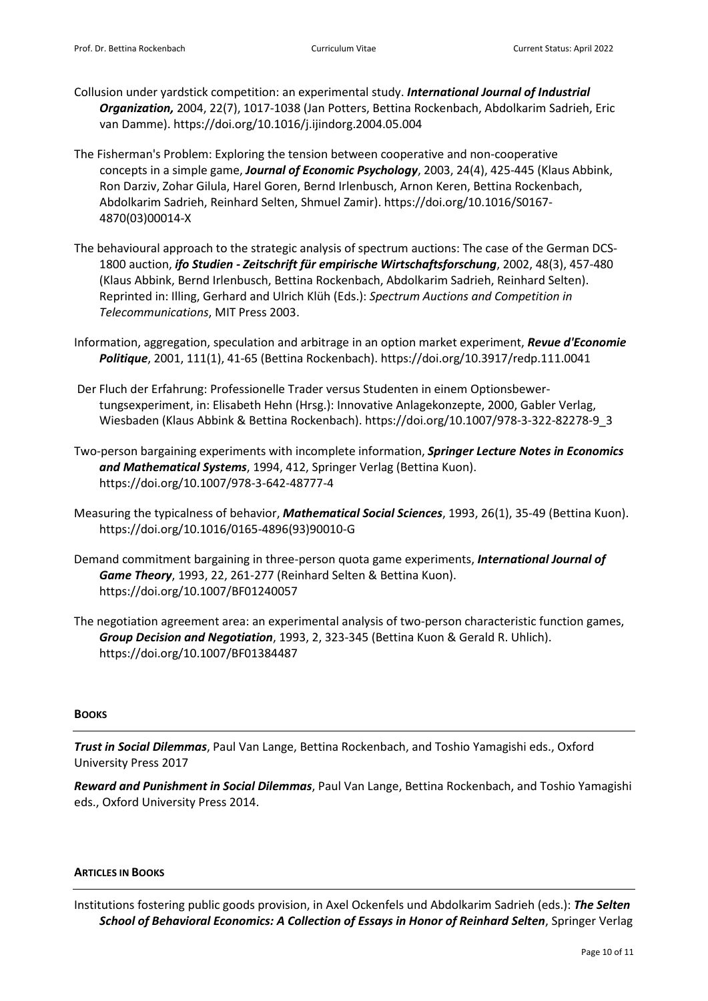- Collusion under yardstick competition: an experimental study. *International Journal of Industrial Organization,* 2004, 22(7), 1017-1038 (Jan Potters, Bettina Rockenbach, Abdolkarim Sadrieh, Eric van Damme). https://doi.org/10.1016/j.ijindorg.2004.05.004
- The Fisherman's Problem: Exploring the tension between cooperative and non-cooperative concepts in a simple game, *Journal of Economic Psychology*, 2003, 24(4), 425-445 (Klaus Abbink, Ron Darziv, Zohar Gilula, Harel Goren, Bernd Irlenbusch, Arnon Keren, Bettina Rockenbach, Abdolkarim Sadrieh, Reinhard Selten, Shmuel Zamir). https://doi.org/10.1016/S0167- 4870(03)00014-X
- The behavioural approach to the strategic analysis of spectrum auctions: The case of the German DCS-1800 auction, *ifo Studien - Zeitschrift für empirische Wirtschaftsforschung*, 2002, 48(3), 457-480 (Klaus Abbink, Bernd Irlenbusch, Bettina Rockenbach, Abdolkarim Sadrieh, Reinhard Selten). Reprinted in: Illing, Gerhard and Ulrich Klüh (Eds.): *Spectrum Auctions and Competition in Telecommunications*, MIT Press 2003.
- Information, aggregation, speculation and arbitrage in an option market experiment, *Revue d'Economie Politique*, 2001, 111(1), 41-65 (Bettina Rockenbach). https://doi.org/10.3917/redp.111.0041
- Der Fluch der Erfahrung: Professionelle Trader versus Studenten in einem Optionsbewertungsexperiment, in: Elisabeth Hehn (Hrsg.): Innovative Anlagekonzepte, 2000, Gabler Verlag, Wiesbaden (Klaus Abbink & Bettina Rockenbach). https://doi.org/10.1007/978-3-322-82278-9\_3
- Two-person bargaining experiments with incomplete information, *Springer Lecture Notes in Economics and Mathematical Systems*, 1994, 412, Springer Verlag (Bettina Kuon). https://doi.org/10.1007/978-3-642-48777-4
- Measuring the typicalness of behavior, *Mathematical Social Sciences*, 1993, 26(1), 35-49 (Bettina Kuon). https://doi.org/10.1016/0165-4896(93)90010-G
- Demand commitment bargaining in three-person quota game experiments, *International Journal of Game Theory*, 1993, 22, 261-277 (Reinhard Selten & Bettina Kuon). https://doi.org/10.1007/BF01240057
- The negotiation agreement area: an experimental analysis of two-person characteristic function games, *Group Decision and Negotiation*, 1993, 2, 323-345 (Bettina Kuon & Gerald R. Uhlich). https://doi.org/10.1007/BF01384487

#### **BOOKS**

*Trust in Social Dilemmas*, Paul Van Lange, Bettina Rockenbach, and Toshio Yamagishi eds., Oxford University Press 2017

*Reward and Punishment in Social Dilemmas*, Paul Van Lange, Bettina Rockenbach, and Toshio Yamagishi eds., Oxford University Press 2014.

#### **ARTICLES IN BOOKS**

Institutions fostering public goods provision, in Axel Ockenfels und Abdolkarim Sadrieh (eds.): *The Selten School of Behavioral Economics: A Collection of Essays in Honor of Reinhard Selten*, Springer Verlag